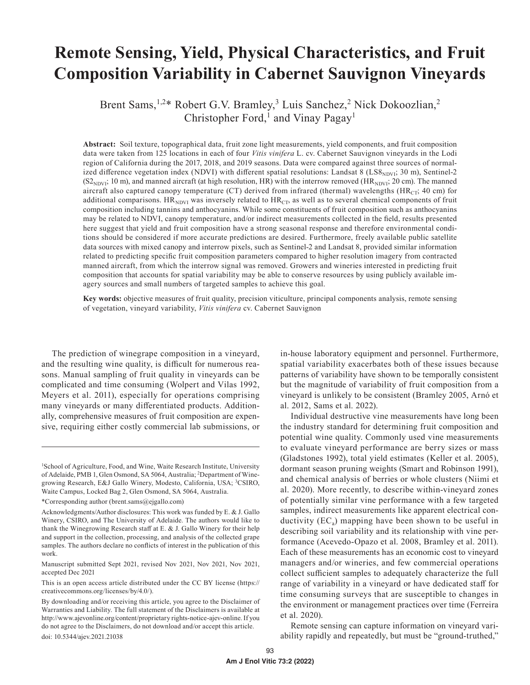# **Remote Sensing, Yield, Physical Characteristics, and Fruit Composition Variability in Cabernet Sauvignon Vineyards**

Brent Sams,<sup>1,2\*</sup> Robert G.V. Bramley,<sup>3</sup> Luis Sanchez,<sup>2</sup> Nick Dokoozlian,<sup>2</sup> Christopher Ford,<sup>1</sup> and Vinay Pagay<sup>1</sup>

**Abstract:** Soil texture, topographical data, fruit zone light measurements, yield components, and fruit composition data were taken from 125 locations in each of four *Vitis vinifera* L. cv. Cabernet Sauvignon vineyards in the Lodi region of California during the 2017, 2018, and 2019 seasons. Data were compared against three sources of normalized difference vegetation index (NDVI) with different spatial resolutions: Landsat 8 (LS8<sub>NDVI</sub>; 30 m), Sentinel-2  $(S2_{NDVI}; 10 \text{ m})$ , and manned aircraft (at high resolution, HR) with the interrow removed (HR<sub>NDVI</sub>; 20 cm). The manned aircraft also captured canopy temperature (CT) derived from infrared (thermal) wavelengths ( $HR_{CT}$ ; 40 cm) for additional comparisons.  $HR_{NDVI}$  was inversely related to  $HR_{CT}$ , as well as to several chemical components of fruit composition including tannins and anthocyanins. While some constituents of fruit composition such as anthocyanins may be related to NDVI, canopy temperature, and/or indirect measurements collected in the field, results presented here suggest that yield and fruit composition have a strong seasonal response and therefore environmental conditions should be considered if more accurate predictions are desired. Furthermore, freely available public satellite data sources with mixed canopy and interrow pixels, such as Sentinel-2 and Landsat 8, provided similar information related to predicting specific fruit composition parameters compared to higher resolution imagery from contracted manned aircraft, from which the interrow signal was removed. Growers and wineries interested in predicting fruit composition that accounts for spatial variability may be able to conserve resources by using publicly available imagery sources and small numbers of targeted samples to achieve this goal.

**Key words:** objective measures of fruit quality, precision viticulture, principal components analysis, remote sensing of vegetation, vineyard variability, *Vitis vinifera* cv. Cabernet Sauvignon

The prediction of winegrape composition in a vineyard, and the resulting wine quality, is difficult for numerous reasons. Manual sampling of fruit quality in vineyards can be complicated and time consuming (Wolpert and Vilas 1992, Meyers et al. 2011), especially for operations comprising many vineyards or many differentiated products. Additionally, comprehensive measures of fruit composition are expensive, requiring either costly commercial lab submissions, or

Manuscript submitted Sept 2021, revised Nov 2021, Nov 2021, Nov 2021, accepted Dec 2021

This is an open access article distributed under the CC BY license (https:// creativecommons.org/licenses/by/4.0/).

in-house laboratory equipment and personnel. Furthermore, spatial variability exacerbates both of these issues because patterns of variability have shown to be temporally consistent but the magnitude of variability of fruit composition from a vineyard is unlikely to be consistent (Bramley 2005, Arnó et al. 2012, Sams et al. 2022).

Individual destructive vine measurements have long been the industry standard for determining fruit composition and potential wine quality. Commonly used vine measurements to evaluate vineyard performance are berry sizes or mass (Gladstones 1992), total yield estimates (Keller et al. 2005), dormant season pruning weights (Smart and Robinson 1991), and chemical analysis of berries or whole clusters (Niimi et al. 2020). More recently, to describe within-vineyard zones of potentially similar vine performance with a few targeted samples, indirect measurements like apparent electrical conductivity  $(EC_a)$  mapping have been shown to be useful in describing soil variability and its relationship with vine performance (Acevedo-Opazo et al. 2008, Bramley et al. 2011). Each of these measurements has an economic cost to vineyard managers and/or wineries, and few commercial operations collect sufficient samples to adequately characterize the full range of variability in a vineyard or have dedicated staff for time consuming surveys that are susceptible to changes in the environment or management practices over time (Ferreira et al. 2020).

Remote sensing can capture information on vineyard variability rapidly and repeatedly, but must be "ground-truthed,"

<sup>&</sup>lt;sup>1</sup>School of Agriculture, Food, and Wine, Waite Research Institute, University of Adelaide, PMB 1, Glen Osmond, SA 5064, Australia; <sup>2</sup>Department of Winegrowing Research, E&J Gallo Winery, Modesto, California, USA; <sup>3</sup>CSIRO, Waite Campus, Locked Bag 2, Glen Osmond, SA 5064, Australia.

<sup>\*</sup>Corresponding author (brent.sams@ejgallo.com)

Acknowledgments/Author disclosures: This work was funded by E. & J. Gallo Winery, CSIRO, and The University of Adelaide. The authors would like to thank the Winegrowing Research staff at E. & J. Gallo Winery for their help and support in the collection, processing, and analysis of the collected grape samples. The authors declare no conflicts of interest in the publication of this work.

By downloading and/or receiving this article, you agree to the Disclaimer of Warranties and Liability. The full statement of the Disclaimers is available at http://www.ajevonline.org/content/proprietary rights-notice-ajev-online. If you do not agree to the Disclaimers, do not download and/or accept this article. doi: 10.5344/ajev.2021.21038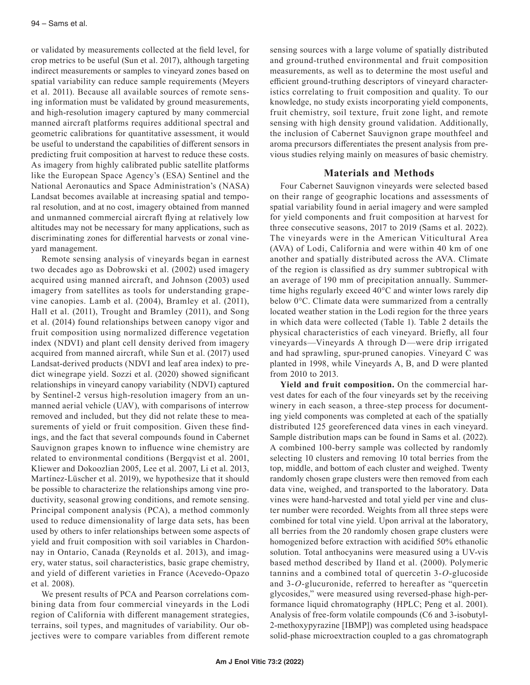or validated by measurements collected at the field level, for crop metrics to be useful (Sun et al. 2017), although targeting indirect measurements or samples to vineyard zones based on spatial variability can reduce sample requirements (Meyers et al. 2011). Because all available sources of remote sensing information must be validated by ground measurements, and high-resolution imagery captured by many commercial manned aircraft platforms requires additional spectral and geometric calibrations for quantitative assessment, it would be useful to understand the capabilities of different sensors in predicting fruit composition at harvest to reduce these costs. As imagery from highly calibrated public satellite platforms like the European Space Agency's (ESA) Sentinel and the National Aeronautics and Space Administration's (NASA) Landsat becomes available at increasing spatial and temporal resolution, and at no cost, imagery obtained from manned and unmanned commercial aircraft flying at relatively low altitudes may not be necessary for many applications, such as discriminating zones for differential harvests or zonal vineyard management.

Remote sensing analysis of vineyards began in earnest two decades ago as Dobrowski et al. (2002) used imagery acquired using manned aircraft, and Johnson (2003) used imagery from satellites as tools for understanding grapevine canopies. Lamb et al. (2004), Bramley et al. (2011), Hall et al. (2011), Trought and Bramley (2011), and Song et al. (2014) found relationships between canopy vigor and fruit composition using normalized difference vegetation index (NDVI) and plant cell density derived from imagery acquired from manned aircraft, while Sun et al. (2017) used Landsat-derived products (NDVI and leaf area index) to predict winegrape yield. Sozzi et al. (2020) showed significant relationships in vineyard canopy variability (NDVI) captured by Sentinel-2 versus high-resolution imagery from an unmanned aerial vehicle (UAV), with comparisons of interrow removed and included, but they did not relate these to measurements of yield or fruit composition. Given these findings, and the fact that several compounds found in Cabernet Sauvignon grapes known to influence wine chemistry are related to environmental conditions (Bergqvist et al. 2001, Kliewer and Dokoozlian 2005, Lee et al. 2007, Li et al. 2013, Martínez-Lüscher et al. 2019), we hypothesize that it should be possible to characterize the relationships among vine productivity, seasonal growing conditions, and remote sensing. Principal component analysis (PCA), a method commonly used to reduce dimensionality of large data sets, has been used by others to infer relationships between some aspects of yield and fruit composition with soil variables in Chardonnay in Ontario, Canada (Reynolds et al. 2013), and imagery, water status, soil characteristics, basic grape chemistry, and yield of different varieties in France (Acevedo-Opazo et al. 2008).

We present results of PCA and Pearson correlations combining data from four commercial vineyards in the Lodi region of California with different management strategies, terrains, soil types, and magnitudes of variability. Our objectives were to compare variables from different remote

sensing sources with a large volume of spatially distributed and ground-truthed environmental and fruit composition measurements, as well as to determine the most useful and efficient ground-truthing descriptors of vineyard characteristics correlating to fruit composition and quality. To our knowledge, no study exists incorporating yield components, fruit chemistry, soil texture, fruit zone light, and remote sensing with high density ground validation. Additionally, the inclusion of Cabernet Sauvignon grape mouthfeel and aroma precursors differentiates the present analysis from previous studies relying mainly on measures of basic chemistry.

#### **Materials and Methods**

Four Cabernet Sauvignon vineyards were selected based on their range of geographic locations and assessments of spatial variability found in aerial imagery and were sampled for yield components and fruit composition at harvest for three consecutive seasons, 2017 to 2019 (Sams et al. 2022). The vineyards were in the American Viticultural Area (AVA) of Lodi, California and were within 40 km of one another and spatially distributed across the AVA. Climate of the region is classified as dry summer subtropical with an average of 190 mm of precipitation annually. Summertime highs regularly exceed 40°C and winter lows rarely dip below 0°C. Climate data were summarized from a centrally located weather station in the Lodi region for the three years in which data were collected (Table 1). Table 2 details the physical characteristics of each vineyard. Briefly, all four vineyards—Vineyards A through D—were drip irrigated and had sprawling, spur-pruned canopies. Vineyard C was planted in 1998, while Vineyards A, B, and D were planted from 2010 to 2013.

**Yield and fruit composition.** On the commercial harvest dates for each of the four vineyards set by the receiving winery in each season, a three-step process for documenting yield components was completed at each of the spatially distributed 125 georeferenced data vines in each vineyard. Sample distribution maps can be found in Sams et al. (2022). A combined 100-berry sample was collected by randomly selecting 10 clusters and removing 10 total berries from the top, middle, and bottom of each cluster and weighed. Twenty randomly chosen grape clusters were then removed from each data vine, weighed, and transported to the laboratory. Data vines were hand-harvested and total yield per vine and cluster number were recorded. Weights from all three steps were combined for total vine yield. Upon arrival at the laboratory, all berries from the 20 randomly chosen grape clusters were homogenized before extraction with acidified 50% ethanolic solution. Total anthocyanins were measured using a UV-vis based method described by Iland et al. (2000). Polymeric tannins and a combined total of quercetin 3-*O*-glucoside and 3-*O*-glucuronide, referred to hereafter as "quercetin glycosides," were measured using reversed-phase high-performance liquid chromatography (HPLC; Peng et al. 2001). Analysis of free-form volatile compounds (C6 and 3-isobutyl-2-methoxypyrazine [IBMP]) was completed using headspace solid-phase microextraction coupled to a gas chromatograph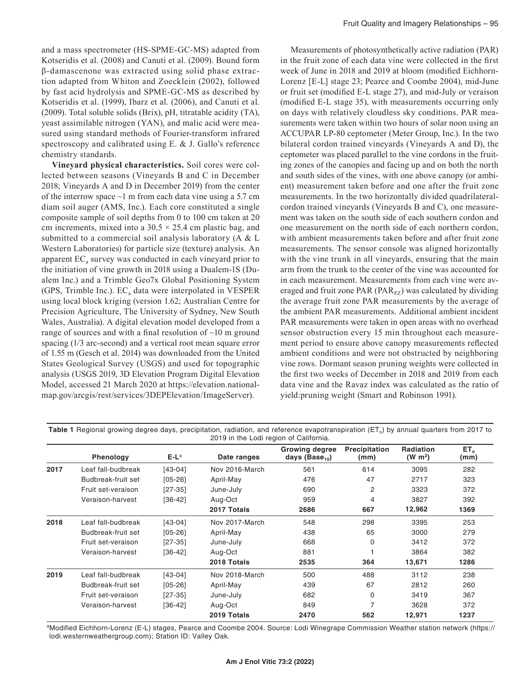and a mass spectrometer (HS-SPME-GC-MS) adapted from Kotseridis et al. (2008) and Canuti et al. (2009). Bound form β-damascenone was extracted using solid phase extraction adapted from Whiton and Zoecklein (2002), followed by fast acid hydrolysis and SPME-GC-MS as described by Kotseridis et al. (1999), Ibarz et al. (2006), and Canuti et al. (2009). Total soluble solids (Brix), pH, titratable acidity (TA), yeast assimilable nitrogen (YAN), and malic acid were measured using standard methods of Fourier-transform infrared spectroscopy and calibrated using E. & J. Gallo's reference chemistry standards.

**Vineyard physical characteristics.** Soil cores were collected between seasons (Vineyards B and C in December 2018; Vineyards A and D in December 2019) from the center of the interrow space  $\sim$ 1 m from each data vine using a 5.7 cm diam soil auger (AMS, Inc.). Each core constituted a single composite sample of soil depths from 0 to 100 cm taken at 20 cm increments, mixed into a  $30.5 \times 25.4$  cm plastic bag, and submitted to a commercial soil analysis laboratory (A & L Western Laboratories) for particle size (texture) analysis. An apparent  $EC<sub>a</sub>$  survey was conducted in each vineyard prior to the initiation of vine growth in 2018 using a Dualem-1S (Dualem Inc.) and a Trimble Geo7x Global Positioning System (GPS, Trimble Inc.).  $EC_a$  data were interpolated in VESPER using local block kriging (version 1.62; Australian Centre for Precision Agriculture, The University of Sydney, New South Wales, Australia). A digital elevation model developed from a range of sources and with a final resolution of  $\sim$ 10 m ground spacing (1/3 arc-second) and a vertical root mean square error of 1.55 m (Gesch et al. 2014) was downloaded from the United States Geological Survey (USGS) and used for topographic analysis (USGS 2019, 3D Elevation Program Digital Elevation Model, accessed 21 March 2020 at https://elevation.nationalmap.gov/arcgis/rest/services/3DEPElevation/ImageServer).

Measurements of photosynthetically active radiation (PAR) in the fruit zone of each data vine were collected in the first week of June in 2018 and 2019 at bloom (modified Eichhorn-Lorenz [E-L] stage 23; Pearce and Coombe 2004), mid-June or fruit set (modified E-L stage 27), and mid-July or veraison (modified E-L stage 35), with measurements occurring only on days with relatively cloudless sky conditions. PAR measurements were taken within two hours of solar noon using an ACCUPAR LP-80 ceptometer (Meter Group, Inc.). In the two bilateral cordon trained vineyards (Vineyards A and D), the ceptometer was placed parallel to the vine cordons in the fruiting zones of the canopies and facing up and on both the north and south sides of the vines, with one above canopy (or ambient) measurement taken before and one after the fruit zone measurements. In the two horizontally divided quadrilateralcordon trained vineyards (Vineyards B and C), one measurement was taken on the south side of each southern cordon and one measurement on the north side of each northern cordon, with ambient measurements taken before and after fruit zone measurements. The sensor console was aligned horizontally with the vine trunk in all vineyards, ensuring that the main arm from the trunk to the center of the vine was accounted for in each measurement. Measurements from each vine were averaged and fruit zone PAR ( $PAR_{FZ}$ ) was calculated by dividing the average fruit zone PAR measurements by the average of the ambient PAR measurements. Additional ambient incident PAR measurements were taken in open areas with no overhead sensor obstruction every 15 min throughout each measurement period to ensure above canopy measurements reflected ambient conditions and were not obstructed by neighboring vine rows. Dormant season pruning weights were collected in the first two weeks of December in 2018 and 2019 from each data vine and the Ravaz index was calculated as the ratio of yield:pruning weight (Smart and Robinson 1991).

|      | Phenology          | $E-L^a$     | Date ranges    | <b>Growing degree</b><br>days $(Base10)$ | Precipitation<br>(mm) | <b>Radiation</b><br>(W m <sup>2</sup> ) | ET <sub>0</sub><br>(mm) |
|------|--------------------|-------------|----------------|------------------------------------------|-----------------------|-----------------------------------------|-------------------------|
| 2017 | Leaf fall-budbreak | $[43 - 04]$ | Nov 2016-March | 561                                      | 614                   | 3095                                    | 282                     |
|      | Budbreak-fruit set | $[05 - 26]$ | April-May      | 476                                      | 47                    | 2717                                    | 323                     |
|      | Fruit set-veraison | $[27-35]$   | June-July      | 690                                      | $\overline{c}$        | 3323                                    | 372                     |
|      | Veraison-harvest   | $[36-42]$   | Aug-Oct        | 959                                      | 4                     | 3827                                    | 392                     |
|      |                    |             | 2017 Totals    | 2686                                     | 667                   | 12,962                                  | 1369                    |
| 2018 | Leaf fall-budbreak | $[43 - 04]$ | Nov 2017-March | 548                                      | 298                   | 3395                                    | 253                     |
|      | Budbreak-fruit set | $[05 - 26]$ | April-May      | 438                                      | 65                    | 3000                                    | 279                     |
|      | Fruit set-veraison | $[27-35]$   | June-July      | 668                                      | $\mathbf 0$           | 3412                                    | 372                     |
|      | Veraison-harvest   | $[36-42]$   | Aug-Oct        | 881                                      |                       | 3864                                    | 382                     |
|      |                    |             | 2018 Totals    | 2535                                     | 364                   | 13,671                                  | 1286                    |
| 2019 | Leaf fall-budbreak | $[43-04]$   | Nov 2018-March | 500                                      | 488                   | 3112                                    | 238                     |
|      | Budbreak-fruit set | $[05 - 26]$ | April-May      | 439                                      | 67                    | 2812                                    | 260                     |
|      | Fruit set-veraison | $[27-35]$   | June-July      | 682                                      | 0                     | 3419                                    | 367                     |
|      | Veraison-harvest   | $[36-42]$   | Aug-Oct        | 849                                      | 7                     | 3628                                    | 372                     |
|      |                    |             | 2019 Totals    | 2470                                     | 562                   | 12,971                                  | 1237                    |

Table 1 Regional growing degree days, precipitation, radiation, and reference evapotranspiration (ET<sub>o</sub>) by annual quarters from 2017 to 2019 in the Lodi region of California

aModified Eichhorn-Lorenz (E-L) stages, Pearce and Coombe 2004. Source: Lodi Winegrape Commission Weather station network (https:// lodi.westernweathergroup.com); Station ID: Valley Oak.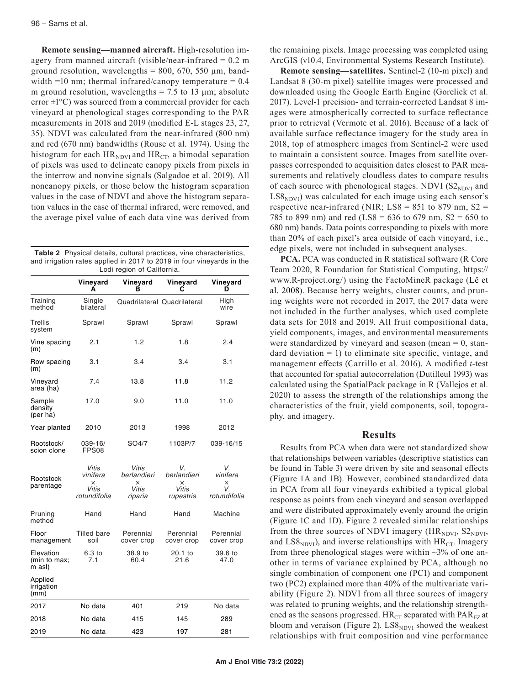**Remote sensing—manned aircraft.** High-resolution imagery from manned aircraft (visible/near-infrared  $= 0.2$  m ground resolution, wavelengths =  $800, 670, 550 \mu m$ , bandwidth =10 nm; thermal infrared/canopy temperature =  $0.4$ m ground resolution, wavelengths =  $7.5$  to 13  $\mu$ m; absolute error  $\pm 1^{\circ}$ C) was sourced from a commercial provider for each vineyard at phenological stages corresponding to the PAR measurements in 2018 and 2019 (modified E-L stages 23, 27, 35). NDVI was calculated from the near-infrared (800 nm) and red (670 nm) bandwidths (Rouse et al. 1974). Using the histogram for each  $HR_{NDVI}$  and  $HR_{CT}$ , a bimodal separation of pixels was used to delineate canopy pixels from pixels in the interrow and nonvine signals (Salgadoe et al. 2019). All noncanopy pixels, or those below the histogram separation values in the case of NDVI and above the histogram separation values in the case of thermal infrared, were removed, and the average pixel value of each data vine was derived from

**Table 2** Physical details, cultural practices, vine characteristics, and irrigation rates applied in 2017 to 2019 in four vineyards in the Lodi region of California.

|                                     | Vineyard<br>А                                   | Vineyard<br>в                                        | Vineyard                                     | Vineyard<br>D                             |
|-------------------------------------|-------------------------------------------------|------------------------------------------------------|----------------------------------------------|-------------------------------------------|
| Training<br>method                  | Single<br>bilateral                             |                                                      | Quadrilateral Quadrilateral                  | High<br>wire                              |
| Trellis<br>system                   | Sprawl                                          | Sprawl                                               | Sprawl                                       | Sprawl                                    |
| Vine spacing<br>(m)                 | 2.1                                             | 1.2                                                  | 1.8                                          | 2.4                                       |
| Row spacing<br>(m)                  | 3.1                                             | 3.4                                                  | 3.4                                          | 3.1                                       |
| Vineyard<br>area (ha)               | 7.4                                             | 13.8                                                 | 11.8                                         | 11.2                                      |
| Sample<br>density<br>(per ha)       | 17.0                                            | 9.0                                                  | 11.0                                         | 11.0                                      |
| Year planted                        | 2010                                            | 2013                                                 | 1998                                         | 2012                                      |
| Rootstock/<br>scion clone           | 039-16/<br>FPS08                                | SO4/7                                                | 1103P/7                                      | 039-16/15                                 |
| Rootstock<br>parentage              | Vitis<br>vinifera<br>×<br>Vitis<br>rotundifolia | Vitis<br>berlandieri<br>$\times$<br>Vitis<br>riparia | V.<br>berlandieri<br>×<br>Vitis<br>rupestris | V.<br>vinifera<br>×<br>V.<br>rotundifolia |
| Pruning<br>method                   | Hand                                            | Hand                                                 | Hand                                         | Machine                                   |
| Floor<br>management                 | Tilled bare<br>soil                             | Perennial<br>cover crop                              | Perennial<br>cover crop                      | Perennial<br>cover crop                   |
| Elevation<br>(min to max;<br>m asl) | 6.3 to<br>7.1                                   | 38.9 to<br>60.4                                      | 20.1 to<br>21.6                              | 39.6 to<br>47.0                           |
| Applied<br>irrigation<br>(mm)       |                                                 |                                                      |                                              |                                           |
| 2017                                | No data                                         | 401                                                  | 219                                          | No data                                   |
| 2018                                | No data                                         | 415                                                  | 145                                          | 289                                       |
| 2019                                | No data                                         | 423                                                  | 197                                          | 281                                       |

**Am J Enol Vitic 73:2 (2022)**

the remaining pixels. Image processing was completed using ArcGIS (v10.4, Environmental Systems Research Institute).

**Remote sensing—satellites.** Sentinel-2 (10-m pixel) and Landsat 8 (30-m pixel) satellite images were processed and downloaded using the Google Earth Engine (Gorelick et al. 2017). Level-1 precision- and terrain-corrected Landsat 8 images were atmospherically corrected to surface reflectance prior to retrieval (Vermote et al. 2016). Because of a lack of available surface reflectance imagery for the study area in 2018, top of atmosphere images from Sentinel-2 were used to maintain a consistent source. Images from satellite overpasses corresponded to acquisition dates closest to PAR measurements and relatively cloudless dates to compare results of each source with phenological stages. NDVI  $(S2_{NDVI}$  and  $LSS_{NDVI}$ ) was calculated for each image using each sensor's respective near-infrared (NIR; LS8 = 851 to 879 nm,  $S2 =$ 785 to 899 nm) and red (LS8 = 636 to 679 nm,  $S2 = 650$  to 680 nm) bands. Data points corresponding to pixels with more than 20% of each pixel's area outside of each vineyard, i.e., edge pixels, were not included in subsequent analyses.

**PCA.** PCA was conducted in R statistical software (R Core Team 2020, R Foundation for Statistical Computing, https:// www.R-project.org/) using the FactoMineR package (Lê et al. 2008). Because berry weights, cluster counts, and pruning weights were not recorded in 2017, the 2017 data were not included in the further analyses, which used complete data sets for 2018 and 2019. All fruit compositional data, yield components, images, and environmental measurements were standardized by vineyard and season (mean  $= 0$ , standard deviation  $= 1$ ) to eliminate site specific, vintage, and management effects (Carrillo et al. 2016). A modified *t*-test that accounted for spatial autocorrelation (Dutilleul 1993) was calculated using the SpatialPack package in R (Vallejos et al. 2020) to assess the strength of the relationships among the characteristics of the fruit, yield components, soil, topography, and imagery.

### **Results**

Results from PCA when data were not standardized show that relationships between variables (descriptive statistics can be found in Table 3) were driven by site and seasonal effects (Figure 1A and 1B). However, combined standardized data in PCA from all four vineyards exhibited a typical global response as points from each vineyard and season overlapped and were distributed approximately evenly around the origin (Figure 1C and 1D). Figure 2 revealed similar relationships from the three sources of NDVI imagery ( $HR_{NDVI}$ ,  $S2_{NDVI}$ , and  $\text{LSS}_{\text{NDVI}}$ ), and inverse relationships with  $\text{HR}_{\text{CT}}$ . Imagery from three phenological stages were within  $\sim$ 3% of one another in terms of variance explained by PCA, although no single combination of component one (PC1) and component two (PC2) explained more than 40% of the multivariate variability (Figure 2). NDVI from all three sources of imagery was related to pruning weights, and the relationship strengthened as the seasons progressed.  $HR_{CT}$  separated with  $PAR_{FZ}$  at bloom and veraison (Figure 2).  $LS8<sub>NDVI</sub>$  showed the weakest relationships with fruit composition and vine performance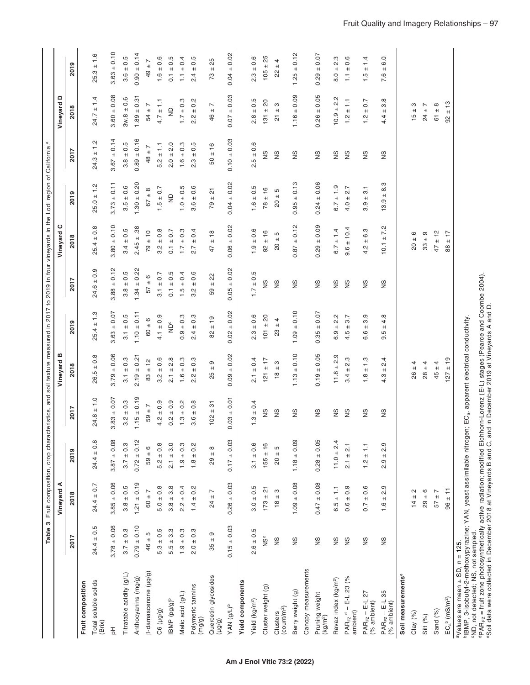|                                                                                                                                                                                                                                                                                                                                | Table 3                            |                                     |                                       | Fruit composition, crop characteristics, and soil texture measured in 2017 to 2019 in four vineyards in the Lodi region of California.ª |                                             |                                           |                         |                                     |                                      |                                          |                                     |                                |
|--------------------------------------------------------------------------------------------------------------------------------------------------------------------------------------------------------------------------------------------------------------------------------------------------------------------------------|------------------------------------|-------------------------------------|---------------------------------------|-----------------------------------------------------------------------------------------------------------------------------------------|---------------------------------------------|-------------------------------------------|-------------------------|-------------------------------------|--------------------------------------|------------------------------------------|-------------------------------------|--------------------------------|
|                                                                                                                                                                                                                                                                                                                                |                                    | ⋖<br>Vineyard                       |                                       |                                                                                                                                         | Vineyard                                    |                                           |                         | ပ<br>Vineyard                       |                                      |                                          | ≏<br>Vineyard                       |                                |
|                                                                                                                                                                                                                                                                                                                                | 2017                               | 2018                                | 2019                                  | 2017                                                                                                                                    | 2018                                        | 2019                                      | 2017                    | 201                                 | ၜ<br>201                             | 2017                                     | 2018                                | 2019                           |
| Fruit composition                                                                                                                                                                                                                                                                                                              |                                    |                                     |                                       |                                                                                                                                         |                                             |                                           |                         |                                     |                                      |                                          |                                     |                                |
| Total soluble solids<br>(Brix)                                                                                                                                                                                                                                                                                                 | $24.4 \pm 0.5$                     | $24.4 \pm 0.7$                      | $24.4 \pm 0.8$                        | $24.8 \pm 1.0$                                                                                                                          | $0.\overline{8}$<br>$26.5 \pm 1$            | $25.4 \pm 1.3$                            | $24.6 \pm 0.9$          | $25.4 \pm 0.8$                      | $25.0 \pm 1.2$                       | 1.2<br>$24.3 \pm$                        | $24.7 \pm 1.4$                      | $\frac{6}{1}$<br>$\pm$<br>25.3 |
| 공                                                                                                                                                                                                                                                                                                                              | $3.78 \pm 0.06$                    | $3.85 \pm 0.06$                     | $3.87 \pm 0.08$                       | $3.83 \pm 0.07$                                                                                                                         | $3.79 \pm 0.06$                             | $3.63 \pm 0.07$                           | $3.88 \pm 0.12$         | $3.80 \pm 0.10$                     | $3.73 \pm 0.11$                      | $3.67 \pm 0.14$                          | $3.60 \pm 0.08$                     | $3.63 \pm 0.10$                |
| Titratable acidity (g/L)                                                                                                                                                                                                                                                                                                       | $3.7 \pm 0.3$                      | $3.8 \pm 0.5$                       | $3.7 \pm 0.3$                         | $3.2 \pm 0.3$                                                                                                                           | $3.1 \pm 0.3$                               | $3.1 \pm 0.5$                             | $3.8 \pm 0.5$           | $3.4 \pm 0.5$                       | $3.5 \pm 0.6$                        | $3.8 \pm 0.5$                            | $3w.8 \pm 0.6$                      | $3.6 \pm 0.5$                  |
| Anthocyanins (mg/g)                                                                                                                                                                                                                                                                                                            | $0.79 \pm 0.10$                    | $1.21 \pm 0.19$                     | $0.72 \pm 0.12$                       | $1.15 \pm 0.19$                                                                                                                         | $2.19 \pm 0.21$                             | $1.10 \pm 0.11$                           | $1.34 \pm 0.22$         | $2.45 \pm .38$                      | $1.30 \pm 0.20$                      | $0.89 \pm 0.16$                          | $1.89 \pm 0.31$                     | $0.90 \pm 0.14$                |
| [p-damascenone (µg/g)                                                                                                                                                                                                                                                                                                          | $46 \pm 5$                         | $60 \pm 7$                          | $59 \pm 6$                            | $\overline{ }$<br>59 ±                                                                                                                  | $83 \pm 12$                                 | $60 \pm 6$                                | $57 \pm 6$              | $79 \pm 10$                         | $67 + 8$                             | $\overline{ }$<br>$48 +$                 | 54 $\pm$ 7                          | L<br>$49 +$                    |
| C6 (µg/g)                                                                                                                                                                                                                                                                                                                      | $5.3 \pm 0.5$                      | $5.0 \pm 0.8$                       | $5.2 \pm 0.8$                         | $4.2 \pm 0.9$                                                                                                                           | $0.\overline{6}$<br>$+$<br>$3.\overline{2}$ | $4.1 \pm 0.9$                             | $3.1 \pm 0.7$           | $3.2 \pm 0.8$                       | $1.5 \pm 0.7$                        | $5.2 \pm 1.1$                            | $4.7 \pm 1.1$                       | $1.6 \pm 0.6$                  |
| IBMP (pg/g) <sup>b</sup>                                                                                                                                                                                                                                                                                                       | $5.5 \pm 3.3$                      | $3.8 \pm 3.8$                       | $2.1 \pm 3.0$                         | $0.2 \pm 0.9$                                                                                                                           | $2.1 \pm 2.8$                               | $\check{\Xi}$                             | $0.1 \pm 0.5$           | $0.1 \pm 0.7$                       | $\mathrel{\mathop{\boxdot}}$         | $2.0 \pm 2.0$                            | $\frac{1}{2}$                       | $\pm 0.5$<br>$\overline{0}$    |
| Malic acid (g/L)                                                                                                                                                                                                                                                                                                               | $1.9 \pm 0.3$                      | $2.2 \pm 0.4$                       | $1.9 \pm 0.3$                         | $1.3 \pm 0.2$                                                                                                                           | $1.6 \pm 0.3$                               | $0.9 \pm 0.3$                             | $1.5 \pm 0.4$           | $1.7 \pm 0.3$                       | $1.0 \pm 0.5$                        | $1.6 \pm 0.3$                            | $1.7 \pm 0.3$                       | $1.1 \pm 0.4$                  |
| Polymeric tannins<br>(mg/g)                                                                                                                                                                                                                                                                                                    | $0.\overline{3}$<br>$\!+\!$<br>2.0 | $1.4 \pm 0.2$                       | $\frac{2}{3}$<br>$+$<br>$\frac{8}{1}$ | $0.\overline{8}$<br>$3.6 \pm$                                                                                                           | $0.\overline{3}$<br>$\pm$<br>Ņ<br>$\sim$    | $2.4 \pm 0.3$                             | 0.6<br>$\pm$<br>Ņ<br>က် | $\pm 0.4$<br>2.7                    | $3.6 \pm 0.6$                        | rö.<br>$\frac{1}{2}$<br>$2.\overline{3}$ | $\pm 0.2$<br>$2.\overline{2}$       | 0.5<br>$\pm$<br>2.4            |
| Quercetin glycosides<br>(6/61)                                                                                                                                                                                                                                                                                                 | $\sigma$<br>$^{\rm +1}$<br>35      | $\overline{ }$<br>$^{\rm +1}$<br>24 | $\infty$<br>$29 \pm$                  | $102 \pm 31$                                                                                                                            | σ<br>$^{\rm +1}$<br>25                      | $82 \pm 19$                               | 22<br>$\pm$<br>59       | ± 18<br>47                          | $79 \pm 21$                          | $+16$<br>50                              | $\overline{ }$<br>$^{\rm +1}$<br>46 | ± 25<br>73                     |
| YAN (g/L) <sup>b</sup>                                                                                                                                                                                                                                                                                                         | $0.15 \pm 0.03$                    | $0.26 \pm 0.03$                     | ± 0.03<br>0.17                        | $0.03 \pm 0.01$                                                                                                                         | $0.09 \pm 0.02$                             | $0.02 \pm 0.02$                           | $0.05 \pm 0.02$         | $0.06 \pm 0.02$                     | $0.04 \pm 0.02$                      | $\pm 0.03$<br>0.10                       | ± 0.03<br>0.07                      | ± 0.02<br>0.04                 |
| <b>Yield components</b>                                                                                                                                                                                                                                                                                                        |                                    |                                     |                                       |                                                                                                                                         |                                             |                                           |                         |                                     |                                      |                                          |                                     |                                |
| Yield (kg/m <sup>2</sup> )                                                                                                                                                                                                                                                                                                     | $2.6 \pm 0.5$                      | $3.0 \pm 0.5$                       | $3.1 \pm 0.6$                         | $1.3 \pm 0.4$                                                                                                                           | $2.1 \pm 0.4$                               | $2.3 \pm 0.6$                             | $1.7 \pm 0.5$           | $1.9 \pm 0.6$                       | $1.6 \pm 0.5$                        | $2.5 \pm 0.6$                            | $2.8 \pm 0.5$                       | $2.3 \pm 0.6$                  |
| Cluster weight (g)                                                                                                                                                                                                                                                                                                             | ğ                                  | $173 \pm 21$                        | $155 \pm 16$                          | S                                                                                                                                       | $121 \pm 17$                                | $101 \pm 20$                              | SN                      | $92 \pm 16$                         | $78 \pm 16$                          | S                                        | $131 \pm 20$                        | $105 \pm 25$                   |
| (count/m <sup>2</sup> )<br>Clusters                                                                                                                                                                                                                                                                                            | $\frac{8}{2}$                      | ო<br>$18 +$                         | Ю<br>$\pm\text{l}$<br>20              | $\frac{8}{2}$                                                                                                                           | ო<br>$\pm$<br>$\frac{8}{1}$                 | 4<br>$\pm\text{l}$<br>$\mathbb{S}^2$      | SN                      | Б<br>$\pm$<br>20                    | Б<br>$+1$<br>$\overline{\mathtt{S}}$ | SN                                       | ო<br>$+1$<br>21                     | 4<br>$\ddot{}$<br>22           |
| Berry weight (g)                                                                                                                                                                                                                                                                                                               | SN                                 | $1.09 \pm 0.08$                     | 0.09<br>1.18                          | $\frac{8}{2}$                                                                                                                           | $1.13 \pm 0.10$                             | $1.09 \pm 0.10$                           | SN                      | $= 0.12$<br>0.87                    | ± 0.13<br>0.95                       | SN                                       | $\pm 0.09$<br>1.16                  | ± 0.12<br>1.25                 |
| Canopy measurements                                                                                                                                                                                                                                                                                                            |                                    |                                     |                                       |                                                                                                                                         |                                             |                                           |                         |                                     |                                      |                                          |                                     |                                |
| Pruning weight<br>(kg/m <sup>2</sup> )                                                                                                                                                                                                                                                                                         | SN                                 | $0.47 \pm 0.08$                     | $0.28 \pm 0.05$                       | SN                                                                                                                                      | $0.19 \pm 0.05$                             | $0.35 \pm 0.07$                           | SN                      | $0.29 \pm 0.09$                     | $0.24 \pm 0.06$                      | SN                                       | $0.26 \pm 0.05$                     | $0.29 \pm 0.07$                |
| Ravaz index (kg/m <sup>2</sup> )                                                                                                                                                                                                                                                                                               | SN                                 | $6.5 \pm 1.1$                       | $11.0 \pm 2.4$                        | $\frac{8}{2}$                                                                                                                           | $11.8 \pm 2.9$                              | $2.\overline{2}$<br>$6.9 +$               | $\frac{8}{2}$           | $6.7 \pm 1.4$                       | $6.7 \pm 1.9$                        | SN                                       | Ņ<br>$10.9 \pm 2$                   | $8.0 \pm 2.3$                  |
| $PAR_{FZ}$ <sup>d</sup> – E-L 23 (%<br>ambient)                                                                                                                                                                                                                                                                                | SN                                 | $0.6 \pm 0.9$                       | $2.1 \pm 2.1$                         | SN                                                                                                                                      | $3.4 \pm 2.3$                               | 3.7<br>$+$<br>4.5                         | SN                      | $9.6 \pm 10.4$                      | $4.0 \pm 2.7$                        | SN                                       | $1.2 \pm 1.1$                       | $\pm 0.6$<br>F                 |
| PAR <sub>FZ</sub> – E-L 27<br>(% ambient)                                                                                                                                                                                                                                                                                      | SN                                 | $0.7 \pm 0.6$                       | $1.2 \pm 1.1$                         | SN                                                                                                                                      | $1.8 \pm 1.3$                               | 3.9<br>$+$<br>6.6                         | SN                      | $4.2 \pm 6.3$                       | $3.9 \pm 3.1$                        | SN                                       | $1.2 \pm 0.7$                       | ± 1.4<br>$\frac{5}{1}$         |
| PAR <sub>FZ</sub> – E-L 35<br>(% ambient)                                                                                                                                                                                                                                                                                      | SN                                 | O)<br>$\sim$<br>$+$<br>1.6          | 2.9<br>$+$<br>တ<br>2.                 | SN                                                                                                                                      | 4<br>$\sim$<br>$\ddot{}$<br>4.3             | 4.8<br>$+$<br>rö.<br>တ                    | SN                      | Ņ<br>$\overline{ }$<br>$+1$<br>10.1 | ო<br>$\infty$<br>$^{\rm +}$<br>13.9  | SN                                       | $\infty$<br>က<br>$^{\rm +}$<br>4.4  | 6.0<br>$+$<br>7.6              |
| Soil measurements <sup>®</sup>                                                                                                                                                                                                                                                                                                 |                                    |                                     |                                       |                                                                                                                                         |                                             |                                           |                         |                                     |                                      |                                          |                                     |                                |
| Clay (%)                                                                                                                                                                                                                                                                                                                       |                                    | $14 \pm 2$                          |                                       |                                                                                                                                         | $26 \pm 4$                                  |                                           |                         | $20 \pm 6$                          |                                      |                                          | $15 \pm 3$                          |                                |
| Silt (%)                                                                                                                                                                                                                                                                                                                       |                                    | $29 \pm 6$                          |                                       |                                                                                                                                         | $28 \pm 4$                                  |                                           |                         | თ<br>$33 \pm 0$                     |                                      |                                          | $24 \pm 7$                          |                                |
| Sand (%)                                                                                                                                                                                                                                                                                                                       |                                    | $57 \pm 7$                          |                                       |                                                                                                                                         | $45 \pm 4$                                  |                                           |                         | $47 \pm 12$                         |                                      |                                          | $\infty$<br>$61 \pm$                |                                |
| $EC_a^b$ (mS/m <sup>2</sup> )                                                                                                                                                                                                                                                                                                  |                                    | $96 \pm 11$                         |                                       |                                                                                                                                         | $127 \pm 19$                                |                                           |                         | $\ddot{ }$<br>$+1$<br>88            |                                      |                                          | ှာ<br>$+1$<br>92                    |                                |
| "IBMP, 3-isobutyl-2-methoxypyrazine; YAN, yeast assimilable nitrogen; EC <sub>8</sub> , apparent electrical conductivity<br>epAR <sub>Fz</sub> = fruit zone photosynthetically active radiation; modified Eichhorn-Lorenz (E-L)<br>"ND, not detected; NS, not sampled.<br>$\sqrt[3]{\text{alues}}$ are mean $\pm$ SD, n = 125. |                                    |                                     |                                       |                                                                                                                                         |                                             | stages (Pearce and Coombe 2004).          |                         |                                     |                                      |                                          |                                     |                                |
| "Soil data were collected in December 2018 at Vineyards B and C, an                                                                                                                                                                                                                                                            |                                    |                                     |                                       |                                                                                                                                         |                                             | id in December 2019 at Vineyards A and D. |                         |                                     |                                      |                                          |                                     |                                |

 $\mathbf{I}$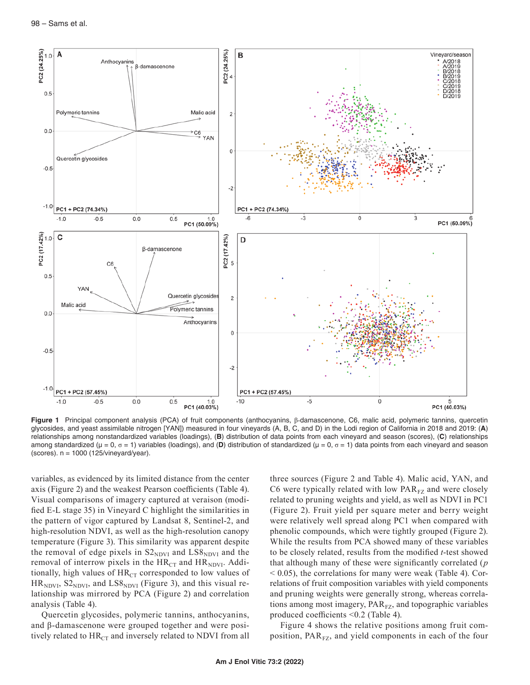

**Figure 1** Principal component analysis (PCA) of fruit components (anthocyanins, β-damascenone, C6, malic acid, polymeric tannins, quercetin glycosides, and yeast assimilable nitrogen [YAN]) measured in four vineyards (A, B, C, and D) in the Lodi region of California in 2018 and 2019: (**A**) relationships among nonstandardized variables (loadings), (**B**) distribution of data points from each vineyard and season (scores), (**C**) relationships among standardized (µ = 0, σ = 1) variables (loadings), and (**D**) distribution of standardized (µ = 0, σ = 1) data points from each vineyard and season (scores). n = 1000 (125/vineyard/year).

variables, as evidenced by its limited distance from the center axis (Figure 2) and the weakest Pearson coefficients (Table 4). Visual comparisons of imagery captured at veraison (modified E-L stage 35) in Vineyard C highlight the similarities in the pattern of vigor captured by Landsat 8, Sentinel-2, and high-resolution NDVI, as well as the high-resolution canopy temperature (Figure 3). This similarity was apparent despite the removal of edge pixels in  $S2_{NDVI}$  and  $LSS_{NDVI}$  and the removal of interrow pixels in the  $HR_{CT}$  and  $HR_{NDVI}$ . Additionally, high values of  $HR_{CT}$  corresponded to low values of  $HR<sub>NDVI</sub>, S2<sub>NDVI</sub>, and LS8<sub>NDVI</sub> (Figure 3), and this visual re$ lationship was mirrored by PCA (Figure 2) and correlation analysis (Table 4).

Quercetin glycosides, polymeric tannins, anthocyanins, and β-damascenone were grouped together and were positively related to  $HR_{CT}$  and inversely related to NDVI from all

three sources (Figure 2 and Table 4). Malic acid, YAN, and C6 were typically related with low  $PAR_{FZ}$  and were closely related to pruning weights and yield, as well as NDVI in PC1 (Figure 2). Fruit yield per square meter and berry weight were relatively well spread along PC1 when compared with phenolic compounds, which were tightly grouped (Figure 2). While the results from PCA showed many of these variables to be closely related, results from the modified *t*-test showed that although many of these were significantly correlated (*p* < 0.05), the correlations for many were weak (Table 4). Correlations of fruit composition variables with yield components and pruning weights were generally strong, whereas correlations among most imagery,  $PAR<sub>FZ</sub>$ , and topographic variables produced coefficients <0.2 (Table 4).

Figure 4 shows the relative positions among fruit composition,  $PAR_{FZ}$ , and yield components in each of the four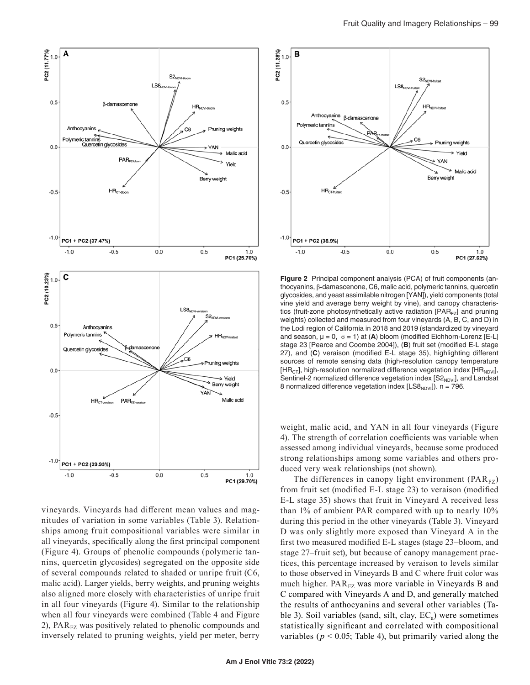

vineyards. Vineyards had different mean values and magnitudes of variation in some variables (Table 3). Relationships among fruit compositional variables were similar in all vineyards, specifically along the first principal component (Figure 4). Groups of phenolic compounds (polymeric tannins, quercetin glycosides) segregated on the opposite side of several compounds related to shaded or unripe fruit (C6, malic acid). Larger yields, berry weights, and pruning weights also aligned more closely with characteristics of unripe fruit in all four vineyards (Figure 4). Similar to the relationship when all four vineyards were combined (Table 4 and Figure 2),  $PAR_{FZ}$  was positively related to phenolic compounds and inversely related to pruning weights, yield per meter, berry



**Figure 2** Principal component analysis (PCA) of fruit components (anthocyanins, β-damascenone, C6, malic acid, polymeric tannins, quercetin glycosides, and yeast assimilable nitrogen [YAN]), yield components (total vine yield and average berry weight by vine), and canopy characteristics (fruit-zone photosynthetically active radiation  $[PAR_{FZ}]$  and pruning weights) collected and measured from four vineyards (A, B, C, and D) in the Lodi region of California in 2018 and 2019 (standardized by vineyard and season,  $\mu = 0$ ,  $\sigma = 1$ ) at (A) bloom (modified Eichhorn-Lorenz [E-L] stage 23 [Pearce and Coombe 2004]), (**B**) fruit set (modified E-L stage 27), and (**C**) veraison (modified E-L stage 35), highlighting different sources of remote sensing data (high-resolution canopy temperature  $[HR<sub>CT</sub>]$ , high-resolution normalized difference vegetation index  $[HR<sub>NDVI</sub>]$ , Sentinel-2 normalized difference vegetation index  $[SZ_{NDVI}]$ , and Landsat 8 normalized difference vegetation index  $[LS8_{NDVI}]$ ). n = 796.

weight, malic acid, and YAN in all four vineyards (Figure 4). The strength of correlation coefficients was variable when assessed among individual vineyards, because some produced strong relationships among some variables and others produced very weak relationships (not shown).

The differences in canopy light environment  $(PAR_{FZ})$ from fruit set (modified E-L stage 23) to veraison (modified E-L stage 35) shows that fruit in Vineyard A received less than 1% of ambient PAR compared with up to nearly 10% during this period in the other vineyards (Table 3). Vineyard D was only slightly more exposed than Vineyard A in the first two measured modified E-L stages (stage 23–bloom, and stage 27–fruit set), but because of canopy management practices, this percentage increased by veraison to levels similar to those observed in Vineyards B and C where fruit color was much higher.  $PAR_{FZ}$  was more variable in Vineyards B and C compared with Vineyards A and D, and generally matched the results of anthocyanins and several other variables (Table 3). Soil variables (sand, silt, clay,  $EC_a$ ) were sometimes statistically significant and correlated with compositional variables ( $p < 0.05$ ; Table 4), but primarily varied along the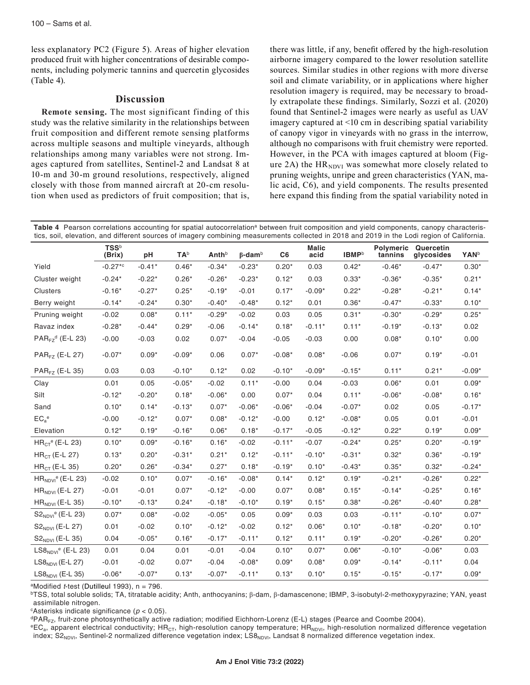less explanatory PC2 (Figure 5). Areas of higher elevation produced fruit with higher concentrations of desirable components, including polymeric tannins and quercetin glycosides (Table 4).

## **Discussion**

**Remote sensing.** The most significant finding of this study was the relative similarity in the relationships between fruit composition and different remote sensing platforms across multiple seasons and multiple vineyards, although relationships among many variables were not strong. Images captured from satellites, Sentinel-2 and Landsat 8 at 10-m and 30-m ground resolutions, respectively, aligned closely with those from manned aircraft at 20-cm resolution when used as predictors of fruit composition; that is, there was little, if any, benefit offered by the high-resolution airborne imagery compared to the lower resolution satellite sources. Similar studies in other regions with more diverse soil and climate variability, or in applications where higher resolution imagery is required, may be necessary to broadly extrapolate these findings. Similarly, Sozzi et al. (2020) found that Sentinel-2 images were nearly as useful as UAV imagery captured at <10 cm in describing spatial variability of canopy vigor in vineyards with no grass in the interrow, although no comparisons with fruit chemistry were reported. However, in the PCA with images captured at bloom (Figure 2A) the  $HR<sub>NDVI</sub>$  was somewhat more closely related to pruning weights, unripe and green characteristics (YAN, malic acid, C6), and yield components. The results presented here expand this finding from the spatial variability noted in

Table 4 Pearson correlations accounting for spatial autocorrelation<sup>a</sup> between fruit composition and yield components, canopy characteristics, soil, elevation, and different sources of imagery combining measurements collected in 2018 and 2019 in the Lodi region of California.

|                                    | <b>TSS</b> b<br>(Brix) | pH       | <b>TA</b> <sup>b</sup> | Anth <sup>b</sup> | $\beta$ -dam $\beta$ | C <sub>6</sub> | <b>Malic</b><br>acid | <b>IBMP</b> <sup>b</sup> | Polymeric<br>tannins | Quercetin<br>glycosides | <b>YAN</b> b |
|------------------------------------|------------------------|----------|------------------------|-------------------|----------------------|----------------|----------------------|--------------------------|----------------------|-------------------------|--------------|
| Yield                              | $-0.27$ *c             | $-0.41*$ | $0.46*$                | $-0.34*$          | $-0.23*$             | $0.20*$        | 0.03                 | $0.42*$                  | $-0.46*$             | $-0.47*$                | $0.30*$      |
| Cluster weight                     | $-0.24*$               | $-0.22*$ | $0.26*$                | $-0.26*$          | $-0.23*$             | $0.12*$        | 0.03                 | $0.33*$                  | $-0.36*$             | $-0.35*$                | $0.21*$      |
| Clusters                           | $-0.16*$               | $-0.27*$ | $0.25*$                | $-0.19*$          | $-0.01$              | $0.17*$        | $-0.09*$             | $0.22*$                  | $-0.28*$             | $-0.21*$                | $0.14*$      |
| Berry weight                       | $-0.14*$               | $-0.24*$ | $0.30*$                | $-0.40*$          | $-0.48*$             | $0.12*$        | 0.01                 | $0.36*$                  | $-0.47*$             | $-0.33*$                | $0.10*$      |
| Pruning weight                     | $-0.02$                | $0.08*$  | $0.11*$                | $-0.29*$          | $-0.02$              | 0.03           | 0.05                 | $0.31*$                  | $-0.30*$             | $-0.29*$                | $0.25*$      |
| Ravaz index                        | $-0.28*$               | $-0.44*$ | $0.29*$                | $-0.06$           | $-0.14*$             | $0.18*$        | $-0.11*$             | $0.11*$                  | $-0.19*$             | $-0.13*$                | 0.02         |
| $PAR_{FZ}^d$ (E-L 23)              | $-0.00$                | $-0.03$  | 0.02                   | $0.07*$           | $-0.04$              | $-0.05$        | $-0.03$              | 0.00                     | $0.08*$              | $0.10*$                 | 0.00         |
| PAR <sub>FZ</sub> (E-L 27)         | $-0.07*$               | $0.09*$  | $-0.09*$               | 0.06              | $0.07*$              | $-0.08*$       | $0.08*$              | $-0.06$                  | $0.07*$              | $0.19*$                 | $-0.01$      |
| $PAR_{FZ}$ (E-L 35)                | 0.03                   | 0.03     | $-0.10*$               | $0.12*$           | 0.02                 | $-0.10*$       | $-0.09*$             | $-0.15*$                 | $0.11*$              | $0.21*$                 | $-0.09*$     |
| Clay                               | 0.01                   | 0.05     | $-0.05*$               | $-0.02$           | $0.11*$              | $-0.00$        | 0.04                 | $-0.03$                  | $0.06*$              | 0.01                    | $0.09*$      |
| Silt                               | $-0.12*$               | $-0.20*$ | $0.18*$                | $-0.06*$          | 0.00                 | $0.07*$        | 0.04                 | $0.11*$                  | $-0.06*$             | $-0.08*$                | $0.16*$      |
| Sand                               | $0.10*$                | $0.14*$  | $-0.13*$               | $0.07*$           | $-0.06*$             | $-0.06*$       | $-0.04$              | $-0.07*$                 | 0.02                 | 0.05                    | $-0.17*$     |
| $EC_a^e$                           | $-0.00$                | $-0.12*$ | $0.07*$                | $0.08*$           | $-0.12*$             | $-0.00$        | $0.12*$              | $-0.08*$                 | 0.05                 | 0.01                    | $-0.01$      |
| Elevation                          | $0.12*$                | $0.19*$  | $-0.16*$               | $0.06*$           | $0.18*$              | $-0.17*$       | $-0.05$              | $-0.12*$                 | $0.22*$              | $0.19*$                 | $0.09*$      |
| $HRCTe$ (E-L 23)                   | $0.10*$                | $0.09*$  | $-0.16*$               | $0.16*$           | $-0.02$              | $-0.11*$       | $-0.07$              | $-0.24*$                 | $0.25*$              | $0.20*$                 | $-0.19*$     |
| $HRCT$ (E-L 27)                    | $0.13*$                | $0.20*$  | $-0.31*$               | $0.21*$           | $0.12*$              | $-0.11*$       | $-0.10*$             | $-0.31*$                 | $0.32*$              | $0.36*$                 | $-0.19*$     |
| $HR_{CT}$ (E-L 35)                 | $0.20*$                | $0.26*$  | $-0.34*$               | $0.27*$           | $0.18*$              | $-0.19*$       | $0.10*$              | $-0.43*$                 | $0.35*$              | $0.32*$                 | $-0.24*$     |
| $HR_{NDVI}$ <sup>e</sup> (E-L 23)  | $-0.02$                | $0.10*$  | $0.07*$                | $-0.16*$          | $-0.08*$             | $0.14*$        | $0.12*$              | $0.19*$                  | $-0.21*$             | $-0.26*$                | $0.22*$      |
| $HR_{NDVI}$ (E-L 27)               | $-0.01$                | $-0.01$  | $0.07*$                | $-0.12*$          | $-0.00$              | $0.07*$        | $0.08*$              | $0.15*$                  | $-0.14*$             | $-0.25*$                | $0.16*$      |
| $HR_{NDVI}$ (E-L 35)               | $-0.10*$               | $-0.13*$ | $0.24*$                | $-0.18*$          | $-0.10*$             | $0.19*$        | $0.15*$              | $0.38*$                  | $-0.26*$             | $-0.40*$                | $0.28*$      |
| $S2_{NDVI}$ <sup>e</sup> (E-L 23)  | $0.07*$                | $0.08*$  | $-0.02$                | $-0.05*$          | 0.05                 | $0.09*$        | 0.03                 | 0.03                     | $-0.11*$             | $-0.10*$                | $0.07*$      |
| S2 <sub>NDVI</sub> (E-L 27)        | 0.01                   | $-0.02$  | $0.10*$                | $-0.12*$          | $-0.02$              | $0.12*$        | $0.06*$              | $0.10*$                  | $-0.18*$             | $-0.20*$                | $0.10*$      |
| S2NDVI (E-L 35)                    | 0.04                   | $-0.05*$ | $0.16*$                | $-0.17*$          | $-0.11*$             | $0.12*$        | $0.11*$              | $0.19*$                  | $-0.20*$             | $-0.26*$                | $0.20*$      |
| $LS8_{NDVI}$ <sup>e</sup> (E-L 23) | 0.01                   | 0.04     | 0.01                   | $-0.01$           | $-0.04$              | $0.10*$        | $0.07*$              | $0.06*$                  | $-0.10*$             | $-0.06*$                | 0.03         |
| $LS8NDVI$ (E-L 27)                 | $-0.01$                | $-0.02$  | $0.07*$                | $-0.04$           | $-0.08*$             | $0.09*$        | $0.08*$              | $0.09*$                  | $-0.14*$             | $-0.11*$                | 0.04         |
| $LS8NDVI$ (E-L 35)                 | $-0.06*$               | $-0.07*$ | $0.13*$                | $-0.07*$          | $-0.11*$             | $0.13*$        | $0.10*$              | $0.15*$                  | $-0.15*$             | $-0.17*$                | $0.09*$      |

aModified *t*-test (Dutilleul 1993), n = 796.

bTSS, total soluble solids; TA, titratable acidity; Anth, anthocyanins; β-dam, β-damascenone; IBMP, 3-isobutyl-2-methoxypyrazine; YAN, yeast assimilable nitrogen.

c Asterisks indicate significance (*p* < 0.05).

<sup>d</sup>PAR<sub>FZ</sub>, fruit-zone photosynthetically active radiation; modified Eichhorn-Lorenz (E-L) stages (Pearce and Coombe 2004).<br><sup>e</sup>EC<sub>a</sub>, apparent electrical conductivity; HR<sub>CT</sub>, high-resolution canopy temperature; HR<sub>NDVI</sub>,

index;  $S2_{NDVI}$ , Sentinel-2 normalized difference vegetation index; LS8<sub>NDVI</sub>, Landsat 8 normalized difference vegetation index.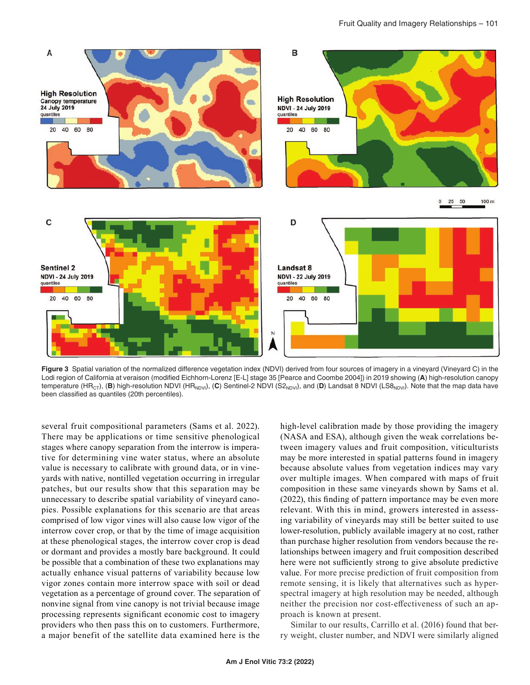

**Figure 3** Spatial variation of the normalized difference vegetation index (NDVI) derived from four sources of imagery in a vineyard (Vineyard C) in the Lodi region of California at veraison (modified Eichhorn-Lorenz [E-L] stage 35 [Pearce and Coombe 2004]) in 2019 showing (**A**) high-resolution canopy temperature (HR<sub>CT</sub>), (B) high-resolution NDVI (HR<sub>NDVI</sub>), (C) Sentinel-2 NDVI (S2<sub>NDVI</sub>), and (D) Landsat 8 NDVI (LS8<sub>NDVI</sub>). Note that the map data have been classified as quantiles (20th percentiles).

several fruit compositional parameters (Sams et al. 2022). There may be applications or time sensitive phenological stages where canopy separation from the interrow is imperative for determining vine water status, where an absolute value is necessary to calibrate with ground data, or in vineyards with native, nontilled vegetation occurring in irregular patches, but our results show that this separation may be unnecessary to describe spatial variability of vineyard canopies. Possible explanations for this scenario are that areas comprised of low vigor vines will also cause low vigor of the interrow cover crop, or that by the time of image acquisition at these phenological stages, the interrow cover crop is dead or dormant and provides a mostly bare background. It could be possible that a combination of these two explanations may actually enhance visual patterns of variability because low vigor zones contain more interrow space with soil or dead vegetation as a percentage of ground cover. The separation of nonvine signal from vine canopy is not trivial because image processing represents significant economic cost to imagery providers who then pass this on to customers. Furthermore, a major benefit of the satellite data examined here is the

high-level calibration made by those providing the imagery (NASA and ESA), although given the weak correlations between imagery values and fruit composition, viticulturists may be more interested in spatial patterns found in imagery because absolute values from vegetation indices may vary over multiple images. When compared with maps of fruit composition in these same vineyards shown by Sams et al. (2022), this finding of pattern importance may be even more relevant. With this in mind, growers interested in assessing variability of vineyards may still be better suited to use lower-resolution, publicly available imagery at no cost, rather than purchase higher resolution from vendors because the relationships between imagery and fruit composition described here were not sufficiently strong to give absolute predictive value. For more precise prediction of fruit composition from remote sensing, it is likely that alternatives such as hyperspectral imagery at high resolution may be needed, although neither the precision nor cost-effectiveness of such an approach is known at present.

Similar to our results, Carrillo et al. (2016) found that berry weight, cluster number, and NDVI were similarly aligned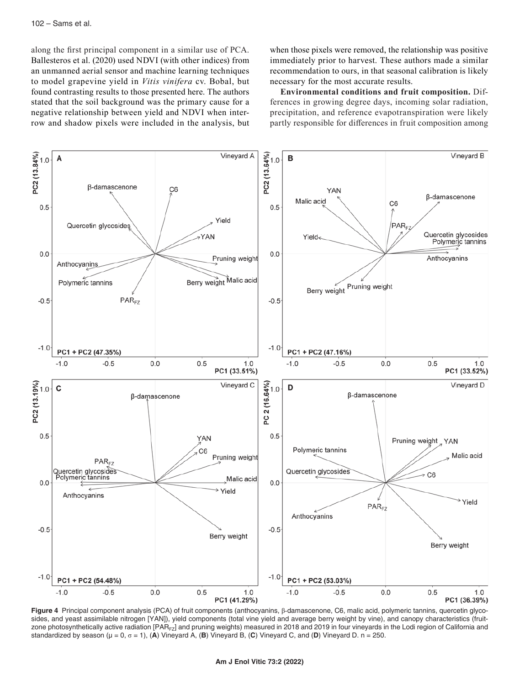along the first principal component in a similar use of PCA. Ballesteros et al. (2020) used NDVI (with other indices) from an unmanned aerial sensor and machine learning techniques to model grapevine yield in *Vitis vinifera* cv. Bobal, but found contrasting results to those presented here. The authors stated that the soil background was the primary cause for a negative relationship between yield and NDVI when interrow and shadow pixels were included in the analysis, but

when those pixels were removed, the relationship was positive immediately prior to harvest. These authors made a similar recommendation to ours, in that seasonal calibration is likely necessary for the most accurate results.

**Environmental conditions and fruit composition.** Differences in growing degree days, incoming solar radiation, precipitation, and reference evapotranspiration were likely partly responsible for differences in fruit composition among



**Figure 4** Principal component analysis (PCA) of fruit components (anthocyanins, β-damascenone, C6, malic acid, polymeric tannins, quercetin glycosides, and yeast assimilable nitrogen [YAN]), yield components (total vine yield and average berry weight by vine), and canopy characteristics (fruitzone photosynthetically active radiation [PAR<sub>FZ</sub>] and pruning weights) measured in 2018 and 2019 in four vineyards in the Lodi region of California and standardized by season ( $\mu = 0$ ,  $\sigma = 1$ ), (A) Vineyard A, (B) Vineyard B, (C) Vineyard C, and (D) Vineyard D. n = 250.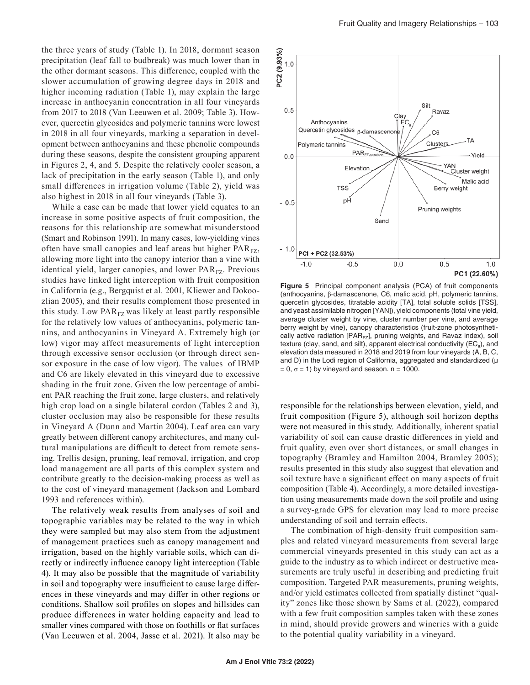the three years of study (Table 1). In 2018, dormant season precipitation (leaf fall to budbreak) was much lower than in the other dormant seasons. This difference, coupled with the slower accumulation of growing degree days in 2018 and higher incoming radiation (Table 1), may explain the large increase in anthocyanin concentration in all four vineyards from 2017 to 2018 (Van Leeuwen et al. 2009; Table 3). However, quercetin glycosides and polymeric tannins were lowest in 2018 in all four vineyards, marking a separation in development between anthocyanins and these phenolic compounds during these seasons, despite the consistent grouping apparent in Figures 2, 4, and 5. Despite the relatively cooler season, a lack of precipitation in the early season (Table 1), and only small differences in irrigation volume (Table 2), yield was also highest in 2018 in all four vineyards (Table 3).

While a case can be made that lower yield equates to an increase in some positive aspects of fruit composition, the reasons for this relationship are somewhat misunderstood (Smart and Robinson 1991). In many cases, low-yielding vines often have small canopies and leaf areas but higher  $PAR_{FZ}$ , allowing more light into the canopy interior than a vine with identical yield, larger canopies, and lower PAR<sub>FZ</sub>. Previous studies have linked light interception with fruit composition in California (e.g., Bergquist et al. 2001, Kliewer and Dokoozlian 2005), and their results complement those presented in this study. Low  $PAR_{FZ}$  was likely at least partly responsible for the relatively low values of anthocyanins, polymeric tannins, and anthocyanins in Vineyard A. Extremely high (or low) vigor may affect measurements of light interception through excessive sensor occlusion (or through direct sensor exposure in the case of low vigor). The values of IBMP and C6 are likely elevated in this vineyard due to excessive shading in the fruit zone. Given the low percentage of ambient PAR reaching the fruit zone, large clusters, and relatively high crop load on a single bilateral cordon (Tables 2 and 3), cluster occlusion may also be responsible for these results in Vineyard A (Dunn and Martin 2004). Leaf area can vary greatly between different canopy architectures, and many cultural manipulations are difficult to detect from remote sensing. Trellis design, pruning, leaf removal, irrigation, and crop load management are all parts of this complex system and contribute greatly to the decision-making process as well as to the cost of vineyard management (Jackson and Lombard 1993 and references within).

The relatively weak results from analyses of soil and topographic variables may be related to the way in which they were sampled but may also stem from the adjustment of management practices such as canopy management and irrigation, based on the highly variable soils, which can directly or indirectly influence canopy light interception (Table 4). It may also be possible that the magnitude of variability in soil and topography were insufficient to cause large differences in these vineyards and may differ in other regions or conditions. Shallow soil profiles on slopes and hillsides can produce differences in water holding capacity and lead to smaller vines compared with those on foothills or flat surfaces (Van Leeuwen et al. 2004, Jasse et al. 2021). It also may be



**Figure 5** Principal component analysis (PCA) of fruit components (anthocyanins, β-damascenone, C6, malic acid, pH, polymeric tannins, quercetin glycosides, titratable acidity [TA], total soluble solids [TSS], and yeast assimilable nitrogen [YAN]), yield components (total vine yield, average cluster weight by vine, cluster number per vine, and average berry weight by vine), canopy characteristics (fruit-zone photosynthetically active radiation [PAR $_{FZ}$ ], pruning weights, and Ravaz index), soil texture (clay, sand, and silt), apparent electrical conductivity ( $EC_a$ ), and elevation data measured in 2018 and 2019 from four vineyards (A, B, C, and D) in the Lodi region of California, aggregated and standardized ( $\mu$  $= 0$ ,  $\sigma = 1$ ) by vineyard and season. n = 1000.

responsible for the relationships between elevation, yield, and fruit composition (Figure 5), although soil horizon depths were not measured in this study. Additionally, inherent spatial variability of soil can cause drastic differences in yield and fruit quality, even over short distances, or small changes in topography (Bramley and Hamilton 2004, Bramley 2005); results presented in this study also suggest that elevation and soil texture have a significant effect on many aspects of fruit composition (Table 4). Accordingly, a more detailed investigation using measurements made down the soil profile and using a survey-grade GPS for elevation may lead to more precise understanding of soil and terrain effects.

The combination of high-density fruit composition samples and related vineyard measurements from several large commercial vineyards presented in this study can act as a guide to the industry as to which indirect or destructive measurements are truly useful in describing and predicting fruit composition. Targeted PAR measurements, pruning weights, and/or yield estimates collected from spatially distinct "quality" zones like those shown by Sams et al. (2022), compared with a few fruit composition samples taken with these zones in mind, should provide growers and wineries with a guide to the potential quality variability in a vineyard.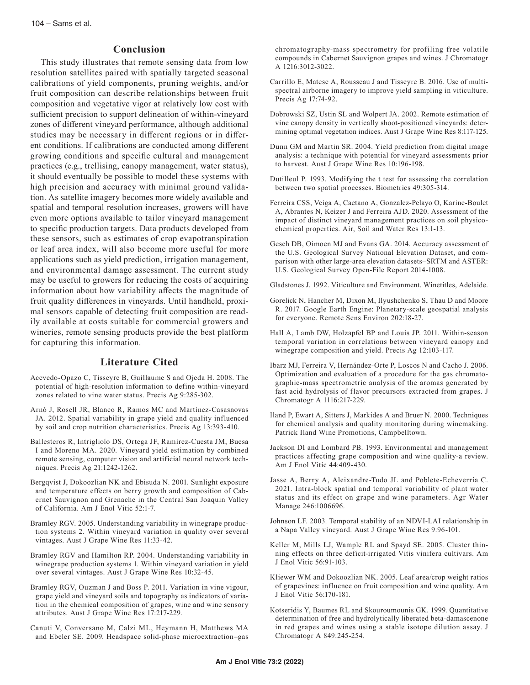# **Conclusion**

This study illustrates that remote sensing data from low resolution satellites paired with spatially targeted seasonal calibrations of yield components, pruning weights, and/or fruit composition can describe relationships between fruit composition and vegetative vigor at relatively low cost with sufficient precision to support delineation of within-vineyard zones of different vineyard performance, although additional studies may be necessary in different regions or in different conditions. If calibrations are conducted among different growing conditions and specific cultural and management practices (e.g., trellising, canopy management, water status), it should eventually be possible to model these systems with high precision and accuracy with minimal ground validation. As satellite imagery becomes more widely available and spatial and temporal resolution increases, growers will have even more options available to tailor vineyard management to specific production targets. Data products developed from these sensors, such as estimates of crop evapotranspiration or leaf area index, will also become more useful for more applications such as yield prediction, irrigation management, and environmental damage assessment. The current study may be useful to growers for reducing the costs of acquiring information about how variability affects the magnitude of fruit quality differences in vineyards. Until handheld, proximal sensors capable of detecting fruit composition are readily available at costs suitable for commercial growers and wineries, remote sensing products provide the best platform for capturing this information.

### **Literature Cited**

- Acevedo-Opazo C, Tisseyre B, Guillaume S and Ojeda H. 2008. The potential of high-resolution information to define within-vineyard zones related to vine water status. Precis Ag 9:285-302.
- Arnó J, Rosell JR, Blanco R, Ramos MC and Martínez-Casasnovas JA. 2012. Spatial variability in grape yield and quality influenced by soil and crop nutrition characteristics. Precis Ag 13:393-410.
- Ballesteros R, Intrigliolo DS, Ortega JF, Ramírez-Cuesta JM, Buesa I and Moreno MA. 2020. Vineyard yield estimation by combined remote sensing, computer vision and artificial neural network techniques. Precis Ag 21:1242-1262.
- Bergqvist J, Dokoozlian NK and Ebisuda N. 2001. Sunlight exposure and temperature effects on berry growth and composition of Cabernet Sauvignon and Grenache in the Central San Joaquin Valley of California. Am J Enol Vitic 52:1-7.
- Bramley RGV. 2005. Understanding variability in winegrape production systems 2. Within vineyard variation in quality over several vintages. Aust J Grape Wine Res 11:33-42.
- Bramley RGV and Hamilton RP. 2004. Understanding variability in winegrape production systems 1. Within vineyard variation in yield over several vintages. Aust J Grape Wine Res 10:32-45.
- Bramley RGV, Ouzman J and Boss P. 2011. Variation in vine vigour, grape yield and vineyard soils and topography as indicators of variation in the chemical composition of grapes, wine and wine sensory attributes. Aust J Grape Wine Res 17:217-229.
- Canuti V, Conversano M, Calzi ML, Heymann H, Matthews MA and Ebeler SE. 2009. Headspace solid-phase microextraction–gas

chromatography-mass spectrometry for profiling free volatile compounds in Cabernet Sauvignon grapes and wines. J Chromatogr A 1216:3012-3022.

- Carrillo E, Matese A, Rousseau J and Tisseyre B. 2016. Use of multispectral airborne imagery to improve yield sampling in viticulture. Precis Ag 17:74-92.
- Dobrowski SZ, Ustin SL and Wolpert JA. 2002. Remote estimation of vine canopy density in vertically shoot-positioned vineyards: determining optimal vegetation indices. Aust J Grape Wine Res 8:117-125.
- Dunn GM and Martin SR. 2004. Yield prediction from digital image analysis: a technique with potential for vineyard assessments prior to harvest. Aust J Grape Wine Res 10:196-198.
- Dutilleul P. 1993. Modifying the t test for assessing the correlation between two spatial processes. Biometrics 49:305-314.
- Ferreira CSS, Veiga A, Caetano A, Gonzalez-Pelayo O, Karine-Boulet A, Abrantes N, Keizer J and Ferreira AJD. 2020. Assessment of the impact of distinct vineyard management practices on soil physicochemical properties. Air, Soil and Water Res 13:1-13.
- Gesch DB, Oimoen MJ and Evans GA. 2014. Accuracy assessment of the U.S. Geological Survey National Elevation Dataset, and comparison with other large-area elevation datasets–SRTM and ASTER: U.S. Geological Survey Open-File Report 2014-1008.

Gladstones J. 1992. Viticulture and Environment. Winetitles, Adelaide.

- Gorelick N, Hancher M, Dixon M, Ilyushchenko S, Thau D and Moore R. 2017. Google Earth Engine: Planetary-scale geospatial analysis for everyone. Remote Sens Environ 202:18-27.
- Hall A, Lamb DW, Holzapfel BP and Louis JP. 2011. Within-season temporal variation in correlations between vineyard canopy and winegrape composition and yield. Precis Ag 12:103-117.
- Ibarz MJ, Ferreira V, Hernández-Orte P, Loscos N and Cacho J. 2006. Optimization and evaluation of a procedure for the gas chromatographic-mass spectrometric analysis of the aromas generated by fast acid hydrolysis of flavor precursors extracted from grapes. J Chromatogr A 1116:217-229.
- Iland P, Ewart A, Sitters J, Markides A and Bruer N. 2000. Techniques for chemical analysis and quality monitoring during winemaking. Patrick Iland Wine Promotions, Campbelltown.
- Jackson DI and Lombard PB. 1993. Environmental and management practices affecting grape composition and wine quality-a review. Am J Enol Vitic 44:409-430.
- Jasse A, Berry A, Aleixandre-Tudo JL and Poblete-Echeverría C. 2021. Intra-block spatial and temporal variability of plant water status and its effect on grape and wine parameters. Agr Water Manage 246:1006696.
- Johnson LF. 2003. Temporal stability of an NDVI‐LAI relationship in a Napa Valley vineyard. Aust J Grape Wine Res 9:96-101.
- Keller M, Mills LJ, Wample RL and Spayd SE. 2005. Cluster thinning effects on three deficit-irrigated Vitis vinifera cultivars. Am J Enol Vitic 56:91-103.
- Kliewer WM and Dokoozlian NK. 2005. Leaf area/crop weight ratios of grapevines: influence on fruit composition and wine quality. Am J Enol Vitic 56:170-181.
- Kotseridis Y, Baumes RL and Skouroumounis GK. 1999. Quantitative determination of free and hydrolytically liberated beta-damascenone in red grapes and wines using a stable isotope dilution assay. J Chromatogr A 849:245-254.